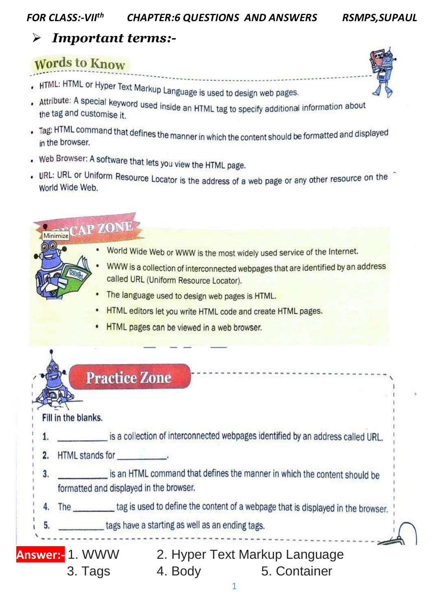#### **FOR CLASS:-VIIth CHAPTER:6 QUESTIONS AND ANSWERS**

### **RSMPS, SUPAUL**

### **Important terms:-** $\blacktriangleright$

# **Words to Know**

- . HTML: HTML or Hyper Text Markup Language is used to design web pages.
- Attribute: A special keyword used inside an HTML tag to specify additional information about the tag and customise it.
- . Tag: HTML command that defines the manner in which the content should be formatted and displayed in the browser.
- . Web Browser: A software that lets you view the HTML page.
- . URL: URL or Uniform Resource Locator is the address of a web page or any other resource on the World Wide Web.

# Minimize CAP ZONE

- World Wide Web or WWW is the most widely used service of the Internet.
- WWW is a collection of interconnected webpages that are identified by an address called URL (Uniform Resource Locator).
- $\bullet$ The language used to design web pages is HTML.
- HTML editors let you write HTML code and create HTML pages.
- HTML pages can be viewed in a web browser.

|    | <b>Practice Zone</b>                                                                                                 |
|----|----------------------------------------------------------------------------------------------------------------------|
|    | Fill in the blanks.                                                                                                  |
|    | is a collection of interconnected webpages identified by an address called URL.                                      |
| 2. | HTML stands for<br>그는 아이의 아직                                                                                         |
| 3. | is an HTML command that defines the manner in which the content should be<br>formatted and displayed in the browser. |
|    | The tag is used to define the content of a webpage that is displayed in the browser.                                 |
|    | tags have a starting as well as an ending tags.<br>5.                                                                |
|    | nswer:- 1. WWW<br>2. Hyper Text Markup Language                                                                      |
|    | 4. Body<br>5. Container<br>3. Tags                                                                                   |

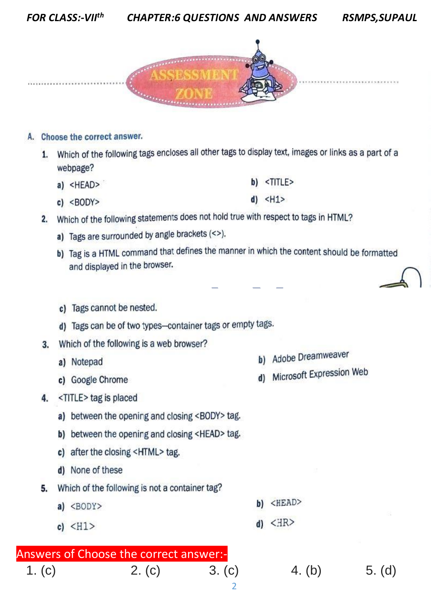

### A. Choose the correct answer.

- 1. Which of the following tags encloses all other tags to display text, images or links as a part of a webpage?
	- b) <TITLE> a) <HEAD>
	- $d)$  <H1>  $c)$  <BODY>
- 2. Which of the following statements does not hold true with respect to tags in HTML?
	- a) Tags are surrounded by angle brackets (<>).
	- b) Tag is a HTML command that defines the manner in which the content should be formatted and displayed in the browser.
	- c) Tags cannot be nested.

d) Tags can be of two types-container tags or empty tags.

- 3. Which of the following is a web browser?
	- a) Notepad
	- c) Google Chrome
- 4. <TITLE>tag is placed
	- a) between the opening and closing <BODY> tag.
	- b) between the opening and closing <HEAD> tag.
	- c) after the closing <HTML> tag.
	- d) None of these
- 5. Which of the following is not a container tag?
	- $b)$  <HEAD>  $a)$  <BODY>
	- c)  $\langle H1 \rangle$

# Answers of Choose the correct answer:

 $2. (c)$  $1. (c)$  $3. (c)$ 

- b) Adobe Dreamweaver
- d) Microsoft Expression Web

- $d)$  < $HR$ >
	- 4. (b)  $5. (d)$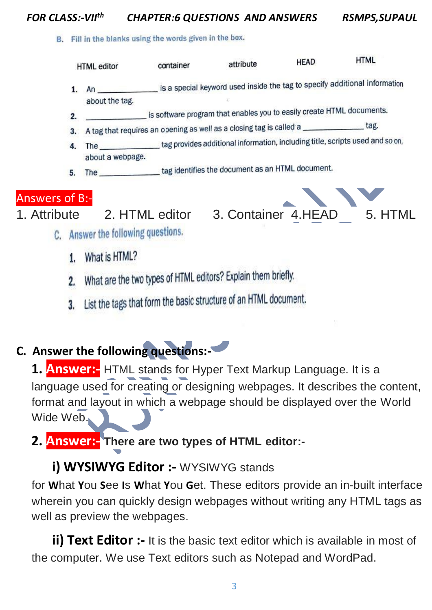### *FOR CLASS:-VII th CHAPTER:6 QUESTIONS AND ANSWERS RSMPS,SUPAUL*

B. Fill in the blanks using the words given in the box.



- What is HTML?  $\mathbf{1}$
- What are the two types of HTML editors? Explain them briefly. 2.
- 3. List the tags that form the basic structure of an HTML document.

# **C. Answer the following questions:-**

**1. Answer:-** HTML stands for Hyper Text Markup Language. It is a language used for creating or designing webpages. It describes the content, format and layout in which a webpage should be displayed over the World Wide Web.

**2. Answer:- There are two types of HTML editor:-**

### **i) WYSIWYG Editor :- WYSIWYG stands**

for **W**hat **Y**ou **S**ee **I**s **W**hat **Y**ou **G**et. These editors provide an in-built interface wherein you can quickly design webpages without writing any HTML tags as well as preview the webpages.

**ii) Text Editor :-** It is the basic text editor which is available in most of the computer. We use Text editors such as Notepad and WordPad.